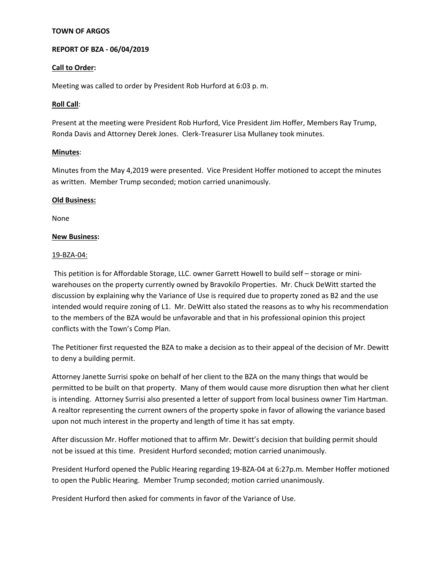## **TOWN OF ARGOS**

# **REPORT OF BZA - 06/04/2019**

## **Call to Order:**

Meeting was called to order by President Rob Hurford at 6:03 p. m.

### **Roll Call**:

Present at the meeting were President Rob Hurford, Vice President Jim Hoffer, Members Ray Trump, Ronda Davis and Attorney Derek Jones. Clerk-Treasurer Lisa Mullaney took minutes.

### **Minutes**:

Minutes from the May 4,2019 were presented. Vice President Hoffer motioned to accept the minutes as written. Member Trump seconded; motion carried unanimously.

### **Old Business:**

None

### **New Business:**

### 19-BZA-04:

This petition is for Affordable Storage, LLC. owner Garrett Howell to build self – storage or miniwarehouses on the property currently owned by Bravokilo Properties. Mr. Chuck DeWitt started the discussion by explaining why the Variance of Use is required due to property zoned as B2 and the use intended would require zoning of L1. Mr. DeWitt also stated the reasons as to why his recommendation to the members of the BZA would be unfavorable and that in his professional opinion this project conflicts with the Town's Comp Plan.

The Petitioner first requested the BZA to make a decision as to their appeal of the decision of Mr. Dewitt to deny a building permit.

Attorney Janette Surrisi spoke on behalf of her client to the BZA on the many things that would be permitted to be built on that property. Many of them would cause more disruption then what her client is intending. Attorney Surrisi also presented a letter of support from local business owner Tim Hartman. A realtor representing the current owners of the property spoke in favor of allowing the variance based upon not much interest in the property and length of time it has sat empty.

After discussion Mr. Hoffer motioned that to affirm Mr. Dewitt's decision that building permit should not be issued at this time. President Hurford seconded; motion carried unanimously.

President Hurford opened the Public Hearing regarding 19-BZA-04 at 6:27p.m. Member Hoffer motioned to open the Public Hearing. Member Trump seconded; motion carried unanimously.

President Hurford then asked for comments in favor of the Variance of Use.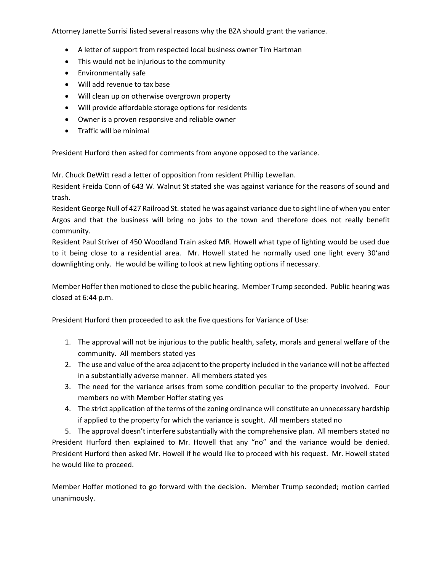Attorney Janette Surrisi listed several reasons why the BZA should grant the variance.

- A letter of support from respected local business owner Tim Hartman
- This would not be injurious to the community
- Environmentally safe
- Will add revenue to tax base
- Will clean up on otherwise overgrown property
- Will provide affordable storage options for residents
- Owner is a proven responsive and reliable owner
- Traffic will be minimal

President Hurford then asked for comments from anyone opposed to the variance.

Mr. Chuck DeWitt read a letter of opposition from resident Phillip Lewellan.

Resident Freida Conn of 643 W. Walnut St stated she was against variance for the reasons of sound and trash.

Resident George Null of 427 Railroad St. stated he was against variance due to sight line of when you enter Argos and that the business will bring no jobs to the town and therefore does not really benefit community.

Resident Paul Striver of 450 Woodland Train asked MR. Howell what type of lighting would be used due to it being close to a residential area. Mr. Howell stated he normally used one light every 30'and downlighting only. He would be willing to look at new lighting options if necessary.

Member Hoffer then motioned to close the public hearing. Member Trump seconded. Public hearing was closed at 6:44 p.m.

President Hurford then proceeded to ask the five questions for Variance of Use:

- 1. The approval will not be injurious to the public health, safety, morals and general welfare of the community. All members stated yes
- 2. The use and value of the area adjacent to the property included in the variance will not be affected in a substantially adverse manner. All members stated yes
- 3. The need for the variance arises from some condition peculiar to the property involved. Four members no with Member Hoffer stating yes
- 4. The strict application of the terms of the zoning ordinance will constitute an unnecessary hardship if applied to the property for which the variance is sought. All members stated no

5. The approval doesn't interfere substantially with the comprehensive plan. All members stated no President Hurford then explained to Mr. Howell that any "no" and the variance would be denied. President Hurford then asked Mr. Howell if he would like to proceed with his request. Mr. Howell stated he would like to proceed.

Member Hoffer motioned to go forward with the decision. Member Trump seconded; motion carried unanimously.